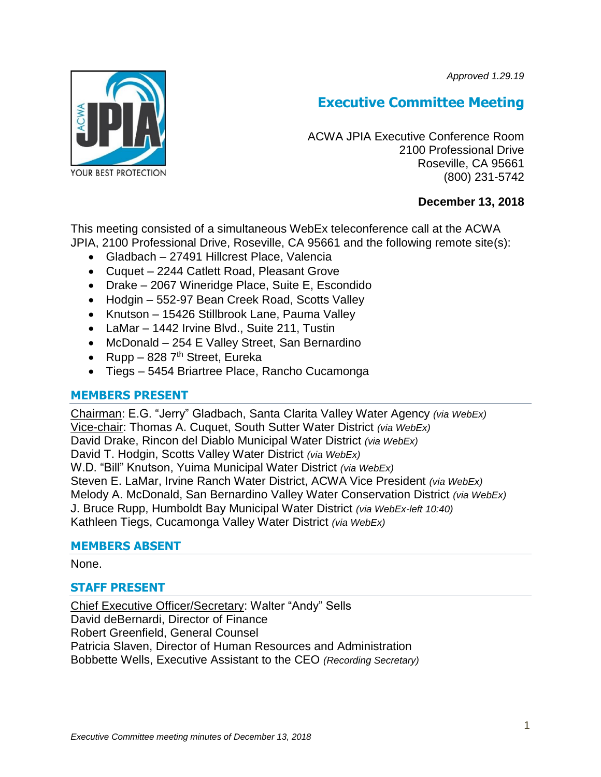*Approved 1.29.19*



# **Executive Committee Meeting**

ACWA JPIA Executive Conference Room 2100 Professional Drive Roseville, CA 95661 (800) 231-5742

# **December 13, 2018**

This meeting consisted of a simultaneous WebEx teleconference call at the ACWA JPIA, 2100 Professional Drive, Roseville, CA 95661 and the following remote site(s):

- Gladbach 27491 Hillcrest Place, Valencia
- Cuquet 2244 Catlett Road, Pleasant Grove
- Drake 2067 Wineridge Place, Suite E, Escondido
- Hodgin 552-97 Bean Creek Road, Scotts Valley
- Knutson 15426 Stillbrook Lane, Pauma Valley
- LaMar 1442 Irvine Blvd., Suite 211, Tustin
- McDonald 254 E Valley Street, San Bernardino
- Rupp 828  $7<sup>th</sup>$  Street, Eureka
- Tiegs 5454 Briartree Place, Rancho Cucamonga

## **MEMBERS PRESENT**

Chairman: E.G. "Jerry" Gladbach, Santa Clarita Valley Water Agency *(via WebEx)* Vice-chair: Thomas A. Cuquet, South Sutter Water District *(via WebEx)* David Drake, Rincon del Diablo Municipal Water District *(via WebEx)* David T. Hodgin, Scotts Valley Water District *(via WebEx)* W.D. "Bill" Knutson, Yuima Municipal Water District *(via WebEx)* Steven E. LaMar, Irvine Ranch Water District, ACWA Vice President *(via WebEx)* Melody A. McDonald, San Bernardino Valley Water Conservation District *(via WebEx)* J. Bruce Rupp, Humboldt Bay Municipal Water District *(via WebEx-left 10:40)* Kathleen Tiegs, Cucamonga Valley Water District *(via WebEx)*

#### **MEMBERS ABSENT**

None.

## **STAFF PRESENT**

Chief Executive Officer/Secretary: Walter "Andy" Sells David deBernardi, Director of Finance Robert Greenfield, General Counsel Patricia Slaven, Director of Human Resources and Administration Bobbette Wells, Executive Assistant to the CEO *(Recording Secretary)*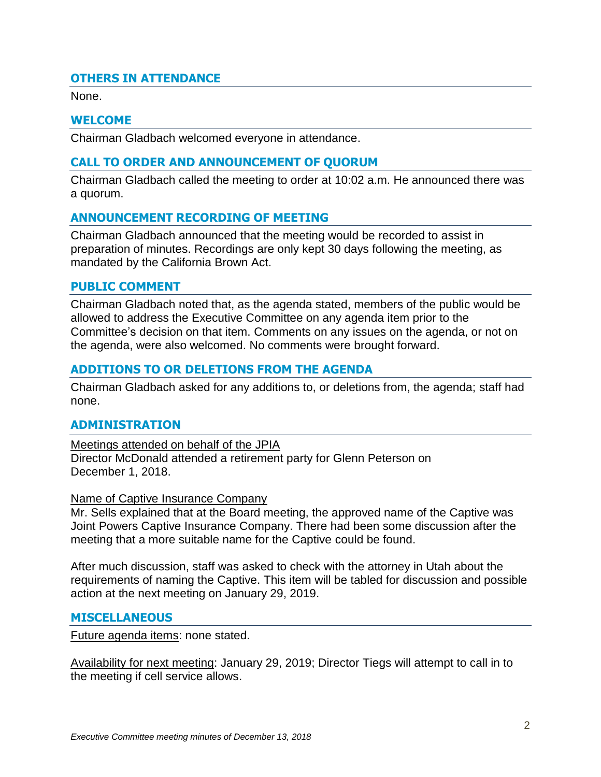# **OTHERS IN ATTENDANCE**

None.

## **WELCOME**

Chairman Gladbach welcomed everyone in attendance.

## **CALL TO ORDER AND ANNOUNCEMENT OF QUORUM**

Chairman Gladbach called the meeting to order at 10:02 a.m. He announced there was a quorum.

## **ANNOUNCEMENT RECORDING OF MEETING**

Chairman Gladbach announced that the meeting would be recorded to assist in preparation of minutes. Recordings are only kept 30 days following the meeting, as mandated by the California Brown Act.

## **PUBLIC COMMENT**

Chairman Gladbach noted that, as the agenda stated, members of the public would be allowed to address the Executive Committee on any agenda item prior to the Committee's decision on that item. Comments on any issues on the agenda, or not on the agenda, were also welcomed. No comments were brought forward.

## **ADDITIONS TO OR DELETIONS FROM THE AGENDA**

Chairman Gladbach asked for any additions to, or deletions from, the agenda; staff had none.

## **ADMINISTRATION**

Meetings attended on behalf of the JPIA Director McDonald attended a retirement party for Glenn Peterson on December 1, 2018.

#### Name of Captive Insurance Company

Mr. Sells explained that at the Board meeting, the approved name of the Captive was Joint Powers Captive Insurance Company. There had been some discussion after the meeting that a more suitable name for the Captive could be found.

After much discussion, staff was asked to check with the attorney in Utah about the requirements of naming the Captive. This item will be tabled for discussion and possible action at the next meeting on January 29, 2019.

#### **MISCELLANEOUS**

Future agenda items: none stated.

Availability for next meeting: January 29, 2019; Director Tiegs will attempt to call in to the meeting if cell service allows.